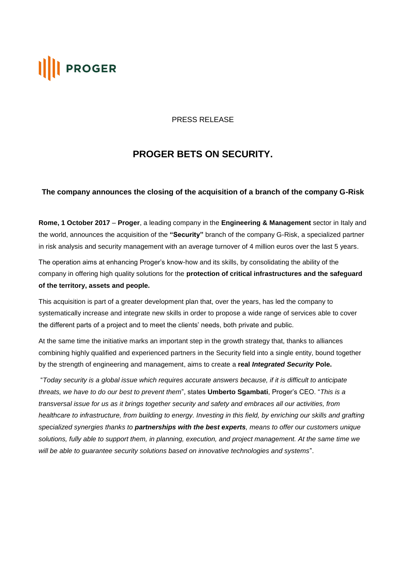# **PROGER**

#### PRESS RELEASE

## **PROGER BETS ON SECURITY.**

### **The company announces the closing of the acquisition of a branch of the company G-Risk**

**Rome, 1 October 2017** – **Proger**, a leading company in the **Engineering & Management** sector in Italy and the world, announces the acquisition of the **"Security"** branch of the company G-Risk, a specialized partner in risk analysis and security management with an average turnover of 4 million euros over the last 5 years.

The operation aims at enhancing Proger's know-how and its skills, by consolidating the ability of the company in offering high quality solutions for the **protection of critical infrastructures and the safeguard of the territory, assets and people.** 

This acquisition is part of a greater development plan that, over the years, has led the company to systematically increase and integrate new skills in order to propose a wide range of services able to cover the different parts of a project and to meet the clients' needs, both private and public.

At the same time the initiative marks an important step in the growth strategy that, thanks to alliances combining highly qualified and experienced partners in the Security field into a single entity, bound together by the strength of engineering and management, aims to create a **real** *Integrated Security* **Pole.**

"*Today security is a global issue which requires accurate answers because, if it is difficult to anticipate threats, we have to do our best to prevent them*", states **Umberto Sgambati**, Proger's CEO. "*This is a transversal issue for us as it brings together security and safety and embraces all our activities, from healthcare to infrastructure, from building to energy. Investing in this field, by enriching our skills and grafting specialized synergies thanks to partnerships with the best experts, means to offer our customers unique solutions, fully able to support them, in planning, execution, and project management. At the same time we will be able to guarantee security solutions based on innovative technologies and systems*".